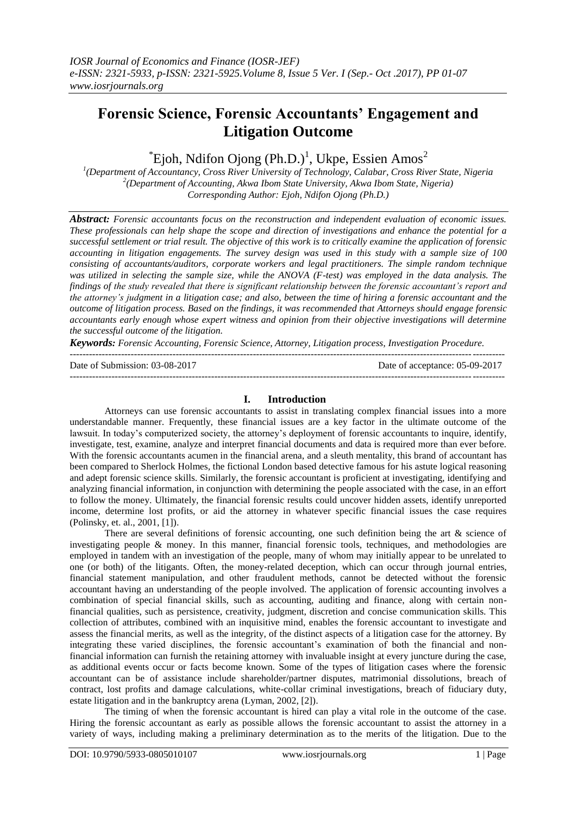# **Forensic Science, Forensic Accountants' Engagement and Litigation Outcome**

<sup>\*</sup>Ejoh, Ndifon Ojong (Ph.D.)<sup>1</sup>, Ukpe, Essien Amos<sup>2</sup>

*1 (Department of Accountancy, Cross River University of Technology, Calabar, Cross River State, Nigeria 2 (Department of Accounting, Akwa Ibom State University, Akwa Ibom State, Nigeria) Corresponding Author: Ejoh, Ndifon Ojong (Ph.D.)*

*Abstract: Forensic accountants focus on the reconstruction and independent evaluation of economic issues. These professionals can help shape the scope and direction of investigations and enhance the potential for a successful settlement or trial result. The objective of this work is to critically examine the application of forensic accounting in litigation engagements. The survey design was used in this study with a sample size of 100 consisting of accountants/auditors, corporate workers and legal practitioners. The simple random technique was utilized in selecting the sample size, while the ANOVA (F-test) was employed in the data analysis. The findings of the study revealed that there is significant relationship between the forensic accountant's report and the attorney's judgment in a litigation case; and also, between the time of hiring a forensic accountant and the outcome of litigation process. Based on the findings, it was recommended that Attorneys should engage forensic accountants early enough whose expert witness and opinion from their objective investigations will determine the successful outcome of the litigation.*

*Keywords: Forensic Accounting, Forensic Science, Attorney, Litigation process, Investigation Procedure.* ---------------------------------------------------------------------------------------------------------------------------------------

| Date of Submission: 03-08-2017 | Date of acceptance: 05-09-2017 |
|--------------------------------|--------------------------------|
|                                |                                |

# **I. Introduction**

Attorneys can use forensic accountants to assist in translating complex financial issues into a more understandable manner. Frequently, these financial issues are a key factor in the ultimate outcome of the lawsuit. In today's computerized society, the attorney's deployment of forensic accountants to inquire, identify, investigate, test, examine, analyze and interpret financial documents and data is required more than ever before. With the forensic accountants acumen in the financial arena, and a sleuth mentality, this brand of accountant has been compared to Sherlock Holmes, the fictional London based detective famous for his astute logical reasoning and adept forensic science skills. Similarly, the forensic accountant is proficient at investigating, identifying and analyzing financial information, in conjunction with determining the people associated with the case, in an effort to follow the money. Ultimately, the financial forensic results could uncover hidden assets, identify unreported income, determine lost profits, or aid the attorney in whatever specific financial issues the case requires (Polinsky, et. al., 2001, [1]).

There are several definitions of forensic accounting, one such definition being the art & science of investigating people & money. In this manner, financial forensic tools, techniques, and methodologies are employed in tandem with an investigation of the people, many of whom may initially appear to be unrelated to one (or both) of the litigants. Often, the money-related deception, which can occur through journal entries, financial statement manipulation, and other fraudulent methods, cannot be detected without the forensic accountant having an understanding of the people involved. The application of forensic accounting involves a combination of special financial skills, such as accounting, auditing and finance, along with certain nonfinancial qualities, such as persistence, creativity, judgment, discretion and concise communication skills. This collection of attributes, combined with an inquisitive mind, enables the forensic accountant to investigate and assess the financial merits, as well as the integrity, of the distinct aspects of a litigation case for the attorney. By integrating these varied disciplines, the forensic accountant's examination of both the financial and nonfinancial information can furnish the retaining attorney with invaluable insight at every juncture during the case, as additional events occur or facts become known. Some of the types of litigation cases where the forensic accountant can be of assistance include shareholder/partner disputes, matrimonial dissolutions, breach of contract, lost profits and damage calculations, white-collar criminal investigations, breach of fiduciary duty, estate litigation and in the bankruptcy arena (Lyman, 2002, [2]).

The timing of when the forensic accountant is hired can play a vital role in the outcome of the case. Hiring the forensic accountant as early as possible allows the forensic accountant to assist the attorney in a variety of ways, including making a preliminary determination as to the merits of the litigation. Due to the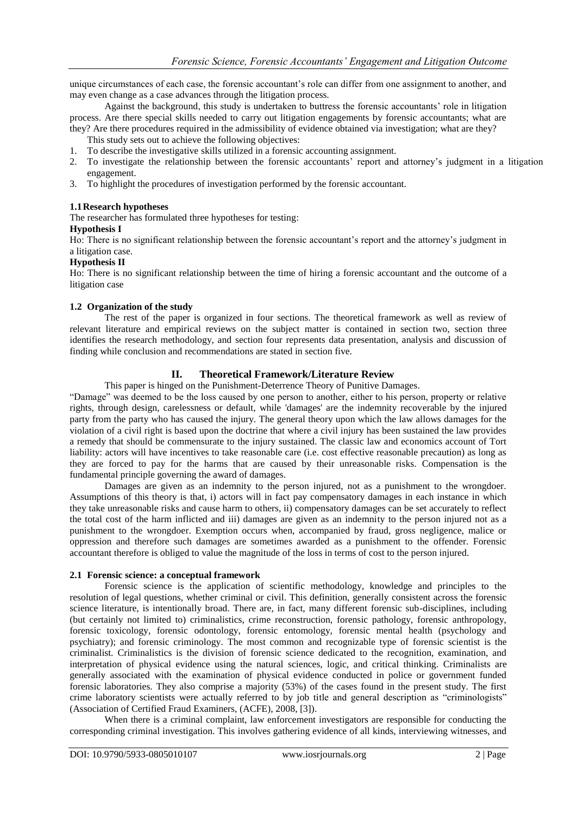unique circumstances of each case, the forensic accountant's role can differ from one assignment to another, and may even change as a case advances through the litigation process.

Against the background, this study is undertaken to buttress the forensic accountants' role in litigation process. Are there special skills needed to carry out litigation engagements by forensic accountants; what are they? Are there procedures required in the admissibility of evidence obtained via investigation; what are they?

- This study sets out to achieve the following objectives:
- 1. To describe the investigative skills utilized in a forensic accounting assignment.
- 2. To investigate the relationship between the forensic accountants' report and attorney's judgment in a litigation engagement.
- 3. To highlight the procedures of investigation performed by the forensic accountant.

# **1.1Research hypotheses**

The researcher has formulated three hypotheses for testing:

#### **Hypothesis I**

Ho: There is no significant relationship between the forensic accountant's report and the attorney's judgment in a litigation case.

# **Hypothesis II**

Ho: There is no significant relationship between the time of hiring a forensic accountant and the outcome of a litigation case

#### **1.2 Organization of the study**

The rest of the paper is organized in four sections. The theoretical framework as well as review of relevant literature and empirical reviews on the subject matter is contained in section two, section three identifies the research methodology, and section four represents data presentation, analysis and discussion of finding while conclusion and recommendations are stated in section five.

# **II. Theoretical Framework/Literature Review**

This paper is hinged on the Punishment-Deterrence Theory of Punitive Damages.

"Damage" was deemed to be the loss caused by one person to another, either to his person, property or relative rights, through design, carelessness or default, while 'damages' are the indemnity recoverable by the injured party from the party who has caused the injury. The general theory upon which the law allows damages for the violation of a civil right is based upon the doctrine that where a civil injury has been sustained the law provides a remedy that should be commensurate to the injury sustained. The classic law and economics account of Tort liability: actors will have incentives to take reasonable care (i.e. cost effective reasonable precaution) as long as they are forced to pay for the harms that are caused by their unreasonable risks. Compensation is the fundamental principle governing the award of damages.

Damages are given as an indemnity to the person injured, not as a punishment to the wrongdoer. Assumptions of this theory is that, i) actors will in fact pay compensatory damages in each instance in which they take unreasonable risks and cause harm to others, ii) compensatory damages can be set accurately to reflect the total cost of the harm inflicted and iii) damages are given as an indemnity to the person injured not as a punishment to the wrongdoer. Exemption occurs when, accompanied by fraud, gross negligence, malice or oppression and therefore such damages are sometimes awarded as a punishment to the offender. Forensic accountant therefore is obliged to value the magnitude of the loss in terms of cost to the person injured.

#### **2.1 Forensic science: a conceptual framework**

Forensic science is the application of scientific methodology, knowledge and principles to the resolution of legal questions, whether criminal or civil. This definition, generally consistent across the forensic science literature, is intentionally broad. There are, in fact, many different forensic sub-disciplines, including (but certainly not limited to) criminalistics, crime reconstruction, forensic pathology, forensic anthropology, forensic toxicology, forensic odontology, forensic entomology, forensic mental health (psychology and psychiatry); and forensic criminology. The most common and recognizable type of forensic scientist is the criminalist. Criminalistics is the division of forensic science dedicated to the recognition, examination, and interpretation of physical evidence using the natural sciences, logic, and critical thinking. Criminalists are generally associated with the examination of physical evidence conducted in police or government funded forensic laboratories. They also comprise a majority (53%) of the cases found in the present study. The first crime laboratory scientists were actually referred to by job title and general description as "criminologists" (Association of Certified Fraud Examiners, (ACFE), 2008, [3]).

When there is a criminal complaint, law enforcement investigators are responsible for conducting the corresponding criminal investigation. This involves gathering evidence of all kinds, interviewing witnesses, and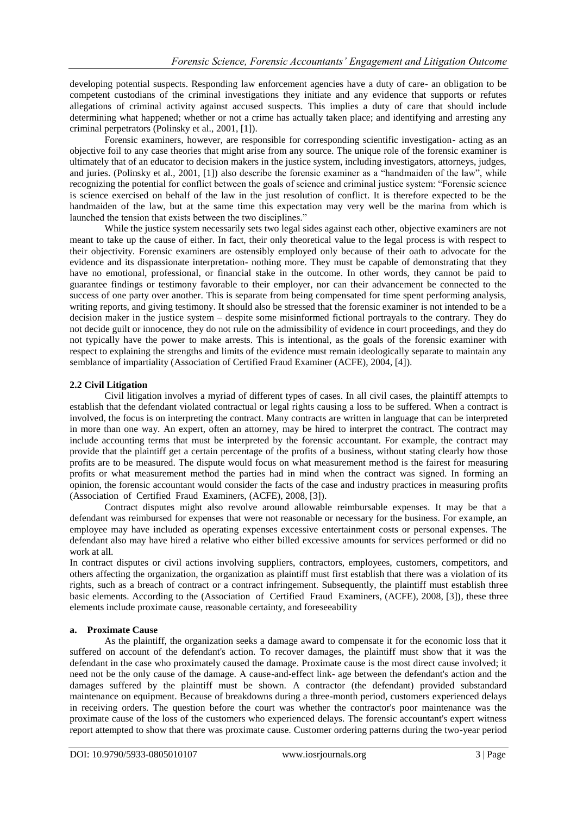developing potential suspects. Responding law enforcement agencies have a duty of care- an obligation to be competent custodians of the criminal investigations they initiate and any evidence that supports or refutes allegations of criminal activity against accused suspects. This implies a duty of care that should include determining what happened; whether or not a crime has actually taken place; and identifying and arresting any criminal perpetrators (Polinsky et al., 2001, [1]).

Forensic examiners, however, are responsible for corresponding scientific investigation- acting as an objective foil to any case theories that might arise from any source. The unique role of the forensic examiner is ultimately that of an educator to decision makers in the justice system, including investigators, attorneys, judges, and juries. (Polinsky et al., 2001, [1]) also describe the forensic examiner as a "handmaiden of the law", while recognizing the potential for conflict between the goals of science and criminal justice system: "Forensic science is science exercised on behalf of the law in the just resolution of conflict. It is therefore expected to be the handmaiden of the law, but at the same time this expectation may very well be the marina from which is launched the tension that exists between the two disciplines."

While the justice system necessarily sets two legal sides against each other, objective examiners are not meant to take up the cause of either. In fact, their only theoretical value to the legal process is with respect to their objectivity. Forensic examiners are ostensibly employed only because of their oath to advocate for the evidence and its dispassionate interpretation- nothing more. They must be capable of demonstrating that they have no emotional, professional, or financial stake in the outcome. In other words, they cannot be paid to guarantee findings or testimony favorable to their employer, nor can their advancement be connected to the success of one party over another. This is separate from being compensated for time spent performing analysis, writing reports, and giving testimony. It should also be stressed that the forensic examiner is not intended to be a decision maker in the justice system – despite some misinformed fictional portrayals to the contrary. They do not decide guilt or innocence, they do not rule on the admissibility of evidence in court proceedings, and they do not typically have the power to make arrests. This is intentional, as the goals of the forensic examiner with respect to explaining the strengths and limits of the evidence must remain ideologically separate to maintain any semblance of impartiality (Association of Certified Fraud Examiner (ACFE), 2004, [4]).

#### **2.2 Civil Litigation**

Civil litigation involves a myriad of different types of cases. In all civil cases, the plaintiff attempts to establish that the defendant violated contractual or legal rights causing a loss to be suffered. When a contract is involved, the focus is on interpreting the contract. Many contracts are written in language that can be interpreted in more than one way. An expert, often an attorney, may be hired to interpret the contract. The contract may include accounting terms that must be interpreted by the forensic accountant. For example, the contract may provide that the plaintiff get a certain percentage of the profits of a business, without stating clearly how those profits are to be measured. The dispute would focus on what measurement method is the fairest for measuring profits or what measurement method the parties had in mind when the contract was signed. In forming an opinion, the forensic accountant would consider the facts of the case and industry practices in measuring profits (Association of Certified Fraud Examiners, (ACFE), 2008, [3]).

Contract disputes might also revolve around allowable reimbursable expenses. It may be that a defendant was reimbursed for expenses that were not reasonable or necessary for the business. For example, an employee may have included as operating expenses excessive entertainment costs or personal expenses. The defendant also may have hired a relative who either billed excessive amounts for services performed or did no work at all.

In contract disputes or civil actions involving suppliers, contractors, employees, customers, competitors, and others affecting the organization, the organization as plaintiff must first establish that there was a violation of its rights, such as a breach of contract or a contract infringement. Subsequently, the plaintiff must establish three basic elements. According to the (Association of Certified Fraud Examiners, (ACFE), 2008, [3]), these three elements include proximate cause, reasonable certainty, and foreseeability

#### **a. Proximate Cause**

As the plaintiff, the organization seeks a damage award to compensate it for the economic loss that it suffered on account of the defendant's action. To recover damages, the plaintiff must show that it was the defendant in the case who proximately caused the damage. Proximate cause is the most direct cause involved; it need not be the only cause of the damage. A cause-and-effect link- age between the defendant's action and the damages suffered by the plaintiff must be shown. A contractor (the defendant) provided substandard maintenance on equipment. Because of breakdowns during a three-month period, customers experienced delays in receiving orders. The question before the court was whether the contractor's poor maintenance was the proximate cause of the loss of the customers who experienced delays. The forensic accountant's expert witness report attempted to show that there was proximate cause. Customer ordering patterns during the two-year period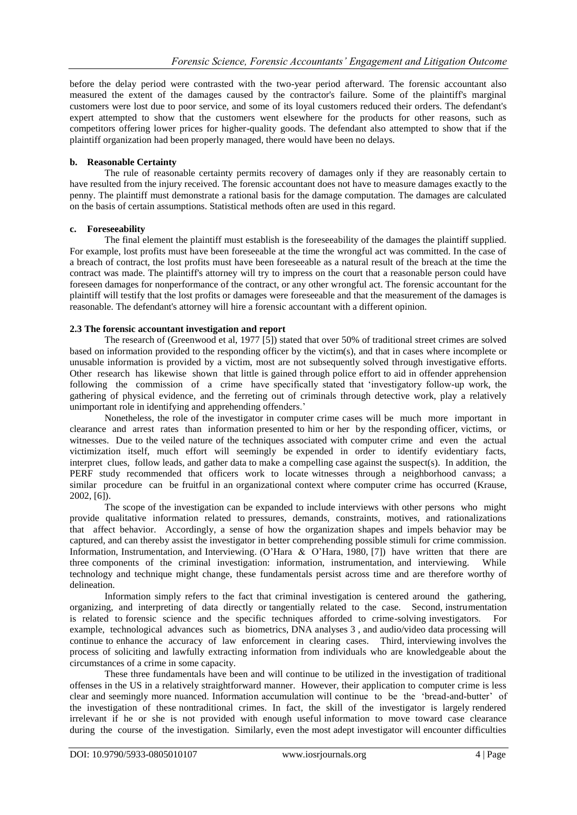before the delay period were contrasted with the two-year period afterward. The forensic accountant also measured the extent of the damages caused by the contractor's failure. Some of the plaintiff's marginal customers were lost due to poor service, and some of its loyal customers reduced their orders. The defendant's expert attempted to show that the customers went elsewhere for the products for other reasons, such as competitors offering lower prices for higher-quality goods. The defendant also attempted to show that if the plaintiff organization had been properly managed, there would have been no delays.

#### **b. Reasonable Certainty**

The rule of reasonable certainty permits recovery of damages only if they are reasonably certain to have resulted from the injury received. The forensic accountant does not have to measure damages exactly to the penny. The plaintiff must demonstrate a rational basis for the damage computation. The damages are calculated on the basis of certain assumptions. Statistical methods often are used in this regard.

#### **c. Foreseeability**

The final element the plaintiff must establish is the foreseeability of the damages the plaintiff supplied. For example, lost profits must have been foreseeable at the time the wrongful act was committed. In the case of a breach of contract, the lost profits must have been foreseeable as a natural result of the breach at the time the contract was made. The plaintiff's attorney will try to impress on the court that a reasonable person could have foreseen damages for nonperformance of the contract, or any other wrongful act. The forensic accountant for the plaintiff will testify that the lost profits or damages were foreseeable and that the measurement of the damages is reasonable. The defendant's attorney will hire a forensic accountant with a different opinion.

#### **2.3 The forensic accountant investigation and report**

The research of (Greenwood et al, 1977 [5]) stated that over 50% of traditional street crimes are solved based on information provided to the responding officer by the victim(s), and that in cases where incomplete or unusable information is provided by a victim, most are not subsequently solved through investigative efforts. Other research has likewise shown that little is gained through police effort to aid in offender apprehension following the commission of a crime have specifically stated that 'investigatory follow-up work, the gathering of physical evidence, and the ferreting out of criminals through detective work, play a relatively unimportant role in identifying and apprehending offenders.'

Nonetheless, the role of the investigator in computer crime cases will be much more important in clearance and arrest rates than information presented to him or her by the responding officer, victims, or witnesses. Due to the veiled nature of the techniques associated with computer crime and even the actual victimization itself, much effort will seemingly be expended in order to identify evidentiary facts, interpret clues, follow leads, and gather data to make a compelling case against the suspect(s). In addition, the PERF study recommended that officers work to locate witnesses through a neighborhood canvass; a similar procedure can be fruitful in an organizational context where computer crime has occurred (Krause, 2002, [6]).

The scope of the investigation can be expanded to include interviews with other persons who might provide qualitative information related to pressures, demands, constraints, motives, and rationalizations that affect behavior. Accordingly, a sense of how the organization shapes and impels behavior may be captured, and can thereby assist the investigator in better comprehending possible stimuli for crime commission. Information, Instrumentation, and Interviewing. (O'Hara & O'Hara, 1980, [7]) have written that there are three components of the criminal investigation: information, instrumentation, and interviewing. While technology and technique might change, these fundamentals persist across time and are therefore worthy of delineation.

Information simply refers to the fact that criminal investigation is centered around the gathering, organizing, and interpreting of data directly or tangentially related to the case. Second, instrumentation is related to forensic science and the specific techniques afforded to crime-solving investigators. For example, technological advances such as biometrics, DNA analyses 3 , and audio/video data processing will continue to enhance the accuracy of law enforcement in clearing cases. Third, interviewing involves the process of soliciting and lawfully extracting information from individuals who are knowledgeable about the circumstances of a crime in some capacity.

These three fundamentals have been and will continue to be utilized in the investigation of traditional offenses in the US in a relatively straightforward manner. However, their application to computer crime is less clear and seemingly more nuanced. Information accumulation will continue to be the 'bread-and-butter' of the investigation of these nontraditional crimes. In fact, the skill of the investigator is largely rendered irrelevant if he or she is not provided with enough useful information to move toward case clearance during the course of the investigation. Similarly, even the most adept investigator will encounter difficulties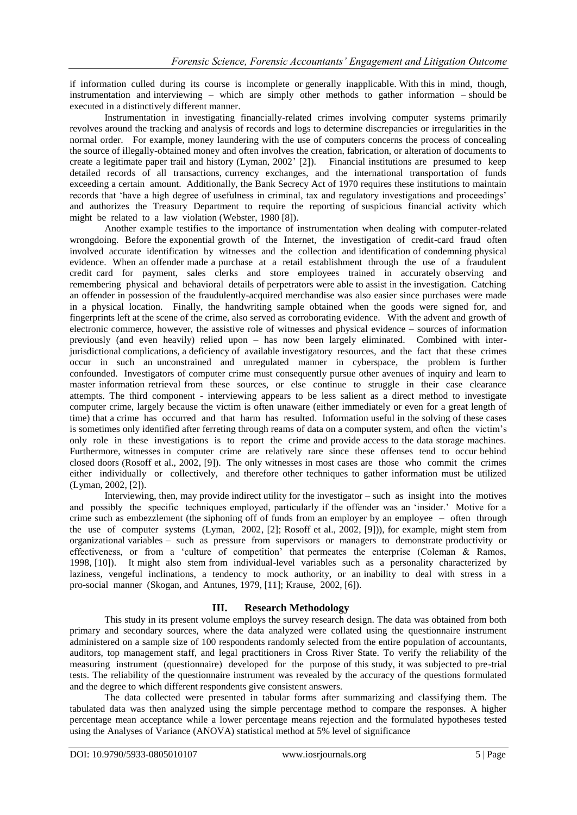if information culled during its course is incomplete or generally inapplicable. With this in mind, though, instrumentation and interviewing – which are simply other methods to gather information – should be executed in a distinctively different manner.

Instrumentation in investigating financially-related crimes involving computer systems primarily revolves around the tracking and analysis of records and logs to determine discrepancies or irregularities in the normal order. For example, money laundering with the use of computers concerns the process of concealing the source of illegally-obtained money and often involves the creation, fabrication, or alteration of documents to create a legitimate paper trail and history (Lyman, 2002' [2]). Financial institutions are presumed to keep detailed records of all transactions, currency exchanges, and the international transportation of funds exceeding a certain amount. Additionally, the Bank Secrecy Act of 1970 requires these institutions to maintain records that 'have a high degree of usefulness in criminal, tax and regulatory investigations and proceedings' and authorizes the Treasury Department to require the reporting of suspicious financial activity which might be related to a law violation (Webster, 1980 [8]).

Another example testifies to the importance of instrumentation when dealing with computer-related wrongdoing. Before the exponential growth of the Internet, the investigation of credit-card fraud often involved accurate identification by witnesses and the collection and identification of condemning physical evidence. When an offender made a purchase at a retail establishment through the use of a fraudulent credit card for payment, sales clerks and store employees trained in accurately observing and remembering physical and behavioral details of perpetrators were able to assist in the investigation. Catching an offender in possession of the fraudulently-acquired merchandise was also easier since purchases were made in a physical location. Finally, the handwriting sample obtained when the goods were signed for, and fingerprints left at the scene of the crime, also served as corroborating evidence. With the advent and growth of electronic commerce, however, the assistive role of witnesses and physical evidence – sources of information previously (and even heavily) relied upon – has now been largely eliminated. Combined with interjurisdictional complications, a deficiency of available investigatory resources, and the fact that these crimes occur in such an unconstrained and unregulated manner in cyberspace, the problem is further confounded. Investigators of computer crime must consequently pursue other avenues of inquiry and learn to master information retrieval from these sources, or else continue to struggle in their case clearance attempts. The third component - interviewing appears to be less salient as a direct method to investigate computer crime, largely because the victim is often unaware (either immediately or even for a great length of time) that a crime has occurred and that harm has resulted. Information useful in the solving of these cases is sometimes only identified after ferreting through reams of data on a computer system, and often the victim's only role in these investigations is to report the crime and provide access to the data storage machines. Furthermore, witnesses in computer crime are relatively rare since these offenses tend to occur behind closed doors (Rosoff et al., 2002, [9]). The only witnesses in most cases are those who commit the crimes either individually or collectively, and therefore other techniques to gather information must be utilized (Lyman, 2002, [2]).

Interviewing, then, may provide indirect utility for the investigator – such as insight into the motives and possibly the specific techniques employed, particularly if the offender was an 'insider.' Motive for a crime such as embezzlement (the siphoning off of funds from an employer by an employee – often through the use of computer systems (Lyman, 2002, [2]; Rosoff et al., 2002, [9])), for example, might stem from organizational variables – such as pressure from supervisors or managers to demonstrate productivity or effectiveness, or from a 'culture of competition' that permeates the enterprise (Coleman & Ramos, 1998, [10]). It might also stem from individual-level variables such as a personality characterized by laziness, vengeful inclinations, a tendency to mock authority, or an inability to deal with stress in a pro-social manner (Skogan, and Antunes, 1979, [11]; Krause, 2002, [6]).

# **III. Research Methodology**

This study in its present volume employs the survey research design. The data was obtained from both primary and secondary sources, where the data analyzed were collated using the questionnaire instrument administered on a sample size of 100 respondents randomly selected from the entire population of accountants, auditors, top management staff, and legal practitioners in Cross River State. To verify the reliability of the measuring instrument (questionnaire) developed for the purpose of this study, it was subjected to pre-trial tests. The reliability of the questionnaire instrument was revealed by the accuracy of the questions formulated and the degree to which different respondents give consistent answers.

The data collected were presented in tabular forms after summarizing and classifying them. The tabulated data was then analyzed using the simple percentage method to compare the responses. A higher percentage mean acceptance while a lower percentage means rejection and the formulated hypotheses tested using the Analyses of Variance (ANOVA) statistical method at 5% level of significance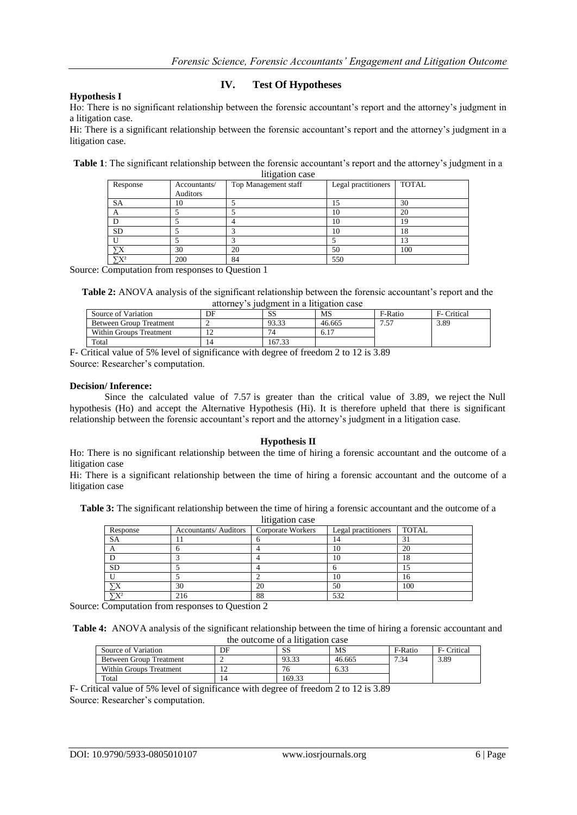# **Hypothesis I**

# **IV. Test Of Hypotheses**

Ho: There is no significant relationship between the forensic accountant's report and the attorney's judgment in a litigation case.

Hi: There is a significant relationship between the forensic accountant's report and the attorney's judgment in a litigation case.

**Table 1**: The significant relationship between the forensic accountant's report and the attorney's judgment in a litigation case

| Response    | Accountants/ | ັ<br>Top Management staff | Legal practitioners | TOTAL |  |
|-------------|--------------|---------------------------|---------------------|-------|--|
|             | Auditors     |                           |                     |       |  |
| <b>SA</b>   | 10           |                           |                     | 30    |  |
| Α           |              |                           | 10                  | 20    |  |
|             |              |                           | 10                  | 19    |  |
| <b>SD</b>   |              |                           | 10                  | 18    |  |
|             |              |                           |                     |       |  |
|             | 30           | 20                        | 50                  | 100   |  |
| $\nabla$ Y2 | 200          | 84                        | 550                 |       |  |

Source: Computation from responses to Question 1

**Table 2:** ANOVA analysis of the significant relationship between the forensic accountant's report and the attorney's judgment in a litigation case

| Source of Variation            | DF  | SS     | MS     | F-Ratio | F- Critical |
|--------------------------------|-----|--------|--------|---------|-------------|
| <b>Between Group Treatment</b> |     | 93.33  | 46.665 | ر.,     | 3.89        |
| Within Groups Treatment        | . . | 74     | 6.17   |         |             |
| Total                          |     | 167.33 |        |         |             |

F- Critical value of 5% level of significance with degree of freedom 2 to 12 is 3.89 Source: Researcher's computation.

#### **Decision/ Inference:**

Since the calculated value of 7.57 is greater than the critical value of 3.89, we reject the Null hypothesis (Ho) and accept the Alternative Hypothesis (Hi). It is therefore upheld that there is significant relationship between the forensic accountant's report and the attorney's judgment in a litigation case.

# **Hypothesis II**

Ho: There is no significant relationship between the time of hiring a forensic accountant and the outcome of a litigation case

Hi: There is a significant relationship between the time of hiring a forensic accountant and the outcome of a litigation case

|  | Table 3: The significant relationship between the time of hiring a forensic accountant and the outcome of a |  |  |  |  |  |
|--|-------------------------------------------------------------------------------------------------------------|--|--|--|--|--|
|  |                                                                                                             |  |  |  |  |  |

| nugation case |                             |                   |                     |              |  |  |  |
|---------------|-----------------------------|-------------------|---------------------|--------------|--|--|--|
| Response      | <b>Accountants/Auditors</b> | Corporate Workers | Legal practitioners | <b>TOTAL</b> |  |  |  |
| <b>SA</b>     |                             |                   | 14                  |              |  |  |  |
|               |                             |                   | 10                  | 20           |  |  |  |
|               |                             |                   | 10                  | 18           |  |  |  |
| <sub>SD</sub> |                             |                   |                     |              |  |  |  |
|               |                             |                   | 10                  | 16           |  |  |  |
|               | 30                          | 20                | 50                  | 100          |  |  |  |
| $\nabla$ Y2   | 216                         | 88                | 532                 |              |  |  |  |

Source: Computation from responses to Question 2

**Table 4:** ANOVA analysis of the significant relationship between the time of hiring a forensic accountant and the outcome of a litigation case

| uic outcome of a migation case |                                                                                            |        |                                                                 |         |             |  |  |
|--------------------------------|--------------------------------------------------------------------------------------------|--------|-----------------------------------------------------------------|---------|-------------|--|--|
| Source of Variation            | DF                                                                                         | SS     | MS                                                              | F-Ratio | F- Critical |  |  |
| <b>Between Group Treatment</b> |                                                                                            | 93.33  | 46.665                                                          | 7.34    | 3.89        |  |  |
| Within Groups Treatment        |                                                                                            | 76     | 6.33                                                            |         |             |  |  |
| Total                          |                                                                                            | 169.33 |                                                                 |         |             |  |  |
|                                | the property of the control of the control of the control of the control of the control of |        | the contract of the contract of the contract of the contract of |         |             |  |  |

F- Critical value of 5% level of significance with degree of freedom 2 to 12 is 3.89 Source: Researcher's computation.